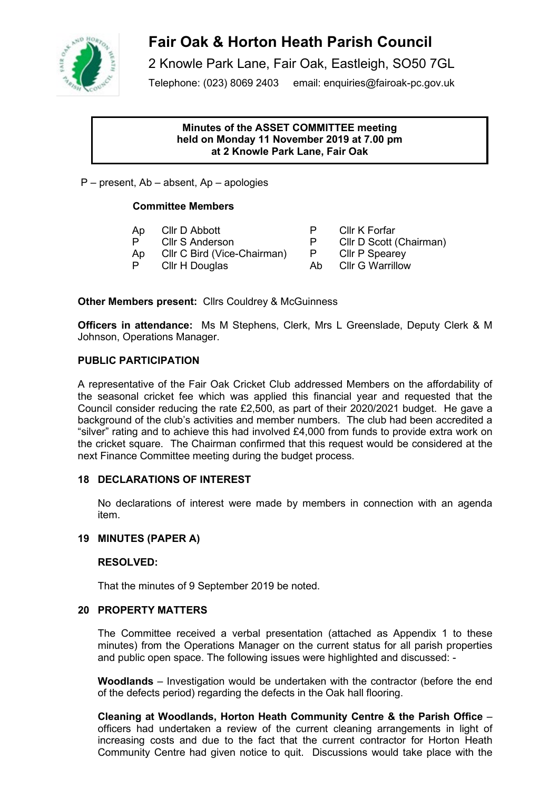

# **Fair Oak & Horton Heath Parish Council**

2 Knowle Park Lane, Fair Oak, Eastleigh, SO50 7GL

Telephone: (023) 8069 2403 email: enquiries@fairoak-pc.gov.uk

# **Minutes of the ASSET COMMITTEE meeting held on Monday 11 November 2019 at 7.00 pm at 2 Knowle Park Lane, Fair Oak**

P – present, Ab – absent, Ap – apologies

# **Committee Members**

- Ap Clir D Abbott **P** Clir K Forfar<br>
P Clir S Anderson **P** Clir D Scott (
- 
- Ap Cllr C Bird (Vice-Chairman) P Cllr P Spearey<br>P Cllr H Douglas Ab Cllr G Warrillow
- P Cllr H Douglas Ab
- P Cllr D Scott (Chairman)<br>P Cllr P Spearey
	-
	-

**Other Members present:** Cllrs Couldrey & McGuinness

**Officers in attendance:** Ms M Stephens, Clerk, Mrs L Greenslade, Deputy Clerk & M Johnson, Operations Manager.

# **PUBLIC PARTICIPATION**

A representative of the Fair Oak Cricket Club addressed Members on the affordability of the seasonal cricket fee which was applied this financial year and requested that the Council consider reducing the rate £2,500, as part of their 2020/2021 budget. He gave a background of the club's activities and member numbers. The club had been accredited a "silver" rating and to achieve this had involved £4,000 from funds to provide extra work on the cricket square. The Chairman confirmed that this request would be considered at the next Finance Committee meeting during the budget process.

# **18 DECLARATIONS OF INTEREST**

No declarations of interest were made by members in connection with an agenda item.

# **19 MINUTES (PAPER A)**

# **RESOLVED:**

That the minutes of 9 September 2019 be noted.

# **20 PROPERTY MATTERS**

The Committee received a verbal presentation (attached as Appendix 1 to these minutes) from the Operations Manager on the current status for all parish properties and public open space. The following issues were highlighted and discussed: -

**Woodlands** – Investigation would be undertaken with the contractor (before the end of the defects period) regarding the defects in the Oak hall flooring.

**Cleaning at Woodlands, Horton Heath Community Centre & the Parish Office** – officers had undertaken a review of the current cleaning arrangements in light of increasing costs and due to the fact that the current contractor for Horton Heath Community Centre had given notice to quit. Discussions would take place with the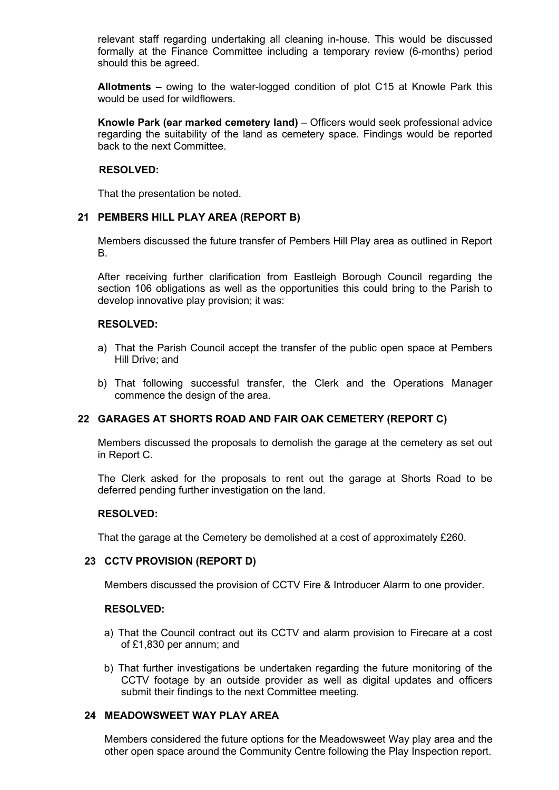relevant staff regarding undertaking all cleaning in-house. This would be discussed formally at the Finance Committee including a temporary review (6-months) period should this be agreed.

**Allotments –** owing to the water-logged condition of plot C15 at Knowle Park this would be used for wildflowers.

**Knowle Park (ear marked cemetery land)** – Officers would seek professional advice regarding the suitability of the land as cemetery space. Findings would be reported back to the next Committee.

## **RESOLVED:**

That the presentation be noted.

# **21 PEMBERS HILL PLAY AREA (REPORT B)**

Members discussed the future transfer of Pembers Hill Play area as outlined in Report B.

After receiving further clarification from Eastleigh Borough Council regarding the section 106 obligations as well as the opportunities this could bring to the Parish to develop innovative play provision; it was:

# **RESOLVED:**

- a) That the Parish Council accept the transfer of the public open space at Pembers Hill Drive; and
- b) That following successful transfer, the Clerk and the Operations Manager commence the design of the area.

# **22 GARAGES AT SHORTS ROAD AND FAIR OAK CEMETERY (REPORT C)**

Members discussed the proposals to demolish the garage at the cemetery as set out in Report C.

The Clerk asked for the proposals to rent out the garage at Shorts Road to be deferred pending further investigation on the land.

#### **RESOLVED:**

That the garage at the Cemetery be demolished at a cost of approximately £260.

#### **23 CCTV PROVISION (REPORT D)**

Members discussed the provision of CCTV Fire & Introducer Alarm to one provider.

#### **RESOLVED:**

- a) That the Council contract out its CCTV and alarm provision to Firecare at a cost of £1,830 per annum; and
- b) That further investigations be undertaken regarding the future monitoring of the CCTV footage by an outside provider as well as digital updates and officers submit their findings to the next Committee meeting.

# **24 MEADOWSWEET WAY PLAY AREA**

Members considered the future options for the Meadowsweet Way play area and the other open space around the Community Centre following the Play Inspection report.